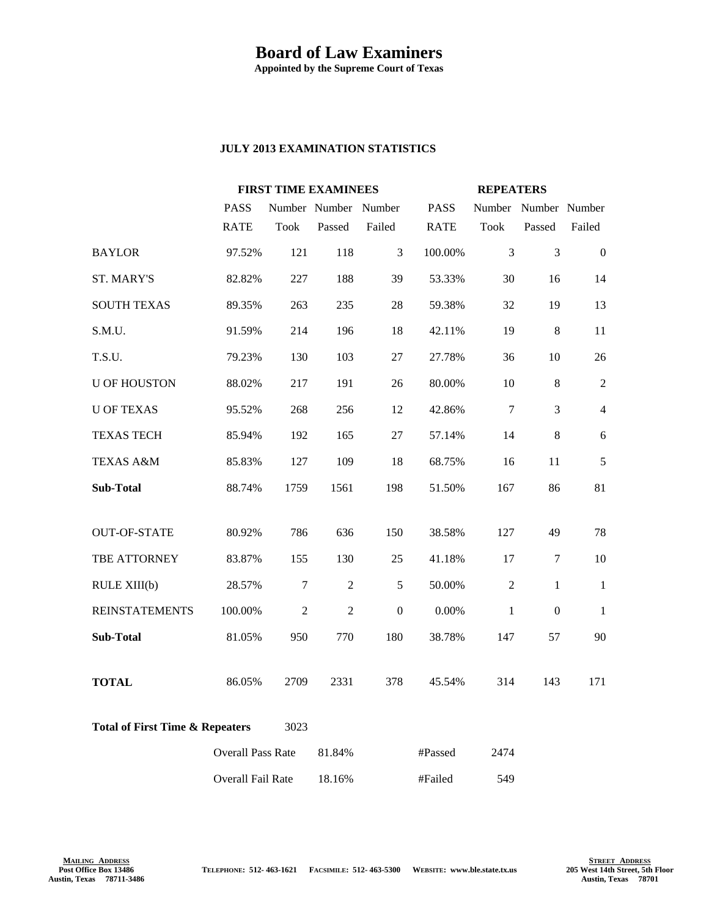## **Board of Law Examiners**

**Appointed by the Supreme Court of Texas**

## **JULY 2013 EXAMINATION STATISTICS**

|                                                    |                          | <b>FIRST TIME EXAMINEES</b> |                      |              |             | <b>REPEATERS</b> |                      |                |
|----------------------------------------------------|--------------------------|-----------------------------|----------------------|--------------|-------------|------------------|----------------------|----------------|
|                                                    | <b>PASS</b>              |                             | Number Number Number |              | <b>PASS</b> |                  | Number Number Number |                |
|                                                    | <b>RATE</b>              | <b>Took</b>                 | Passed               | Failed       | <b>RATE</b> | Took             | Passed               | Failed         |
| <b>BAYLOR</b>                                      | 97.52%                   | 121                         | 118                  | 3            | 100.00%     | 3                | $\overline{3}$       | $\overline{0}$ |
| <b>ST. MARY'S</b>                                  | 82.82%                   | 227                         | 188                  | 39           | 53.33%      | 30               | 16                   | 14             |
| <b>SOUTH TEXAS</b>                                 | 89.35%                   | 263                         | 235                  | 28           | 59.38%      | 32               | 19                   | 13             |
| S.M.U.                                             | 91.59%                   | 214                         | 196                  | 18           | 42.11%      | 19               | $\,8\,$              | 11             |
| T.S.U.                                             | 79.23%                   | 130                         | 103                  | $27\,$       | 27.78%      | 36               | 10                   | 26             |
| <b>U OF HOUSTON</b>                                | 88.02%                   | 217                         | 191                  | 26           | 80.00%      | 10               | $8\,$                | $\sqrt{2}$     |
| <b>U OF TEXAS</b>                                  | 95.52%                   | 268                         | 256                  | 12           | 42.86%      | 7                | 3                    | $\overline{4}$ |
| <b>TEXAS TECH</b>                                  | 85.94%                   | 192                         | 165                  | 27           | 57.14%      | 14               | $\,8\,$              | 6              |
| <b>TEXAS A&amp;M</b>                               | 85.83%                   | 127                         | 109                  | 18           | 68.75%      | 16               | 11                   | 5              |
| <b>Sub-Total</b>                                   | 88.74%                   | 1759                        | 1561                 | 198          | 51.50%      | 167              | 86                   | 81             |
|                                                    |                          |                             |                      |              |             |                  |                      |                |
| <b>OUT-OF-STATE</b>                                | 80.92%                   | 786                         | 636                  | 150          | 38.58%      | 127              | 49                   | 78             |
| TBE ATTORNEY                                       | 83.87%                   | 155                         | 130                  | 25           | 41.18%      | 17               | $\tau$               | 10             |
| RULE XIII(b)                                       | 28.57%                   | $\boldsymbol{7}$            | $\overline{2}$       | 5            | 50.00%      | $\overline{2}$   | $\mathbf{1}$         | $\mathbf{1}$   |
| <b>REINSTATEMENTS</b>                              | 100.00%                  | $\overline{2}$              | $\overline{2}$       | $\mathbf{0}$ | 0.00%       | $\mathbf{1}$     | $\overline{0}$       | $\mathbf{1}$   |
| <b>Sub-Total</b>                                   | 81.05%                   | 950                         | 770                  | 180          | 38.78%      | 147              | 57                   | 90             |
| <b>TOTAL</b>                                       | 86.05%                   | 2709                        | 2331                 | 378          | 45.54%      | 314              | 143                  | 171            |
| <b>Total of First Time &amp; Repeaters</b><br>3023 |                          |                             |                      |              |             |                  |                      |                |
|                                                    | <b>Overall Pass Rate</b> |                             | 81.84%               |              | #Passed     | 2474             |                      |                |
|                                                    | Overall Fail Rate        |                             | 18.16%               |              | #Failed     | 549              |                      |                |